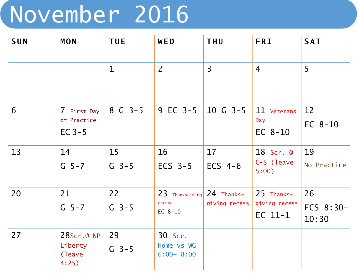## November 2016

| <b>SUN</b> | MON                                       | <b>TUE</b>    | WED                                      | <b>THU</b>                  | <b>FRI</b>                               | <b>SAT</b>               |
|------------|-------------------------------------------|---------------|------------------------------------------|-----------------------------|------------------------------------------|--------------------------|
|            |                                           | $\mathbf{1}$  | $\overline{2}$                           | $\overline{3}$              | $\overline{4}$                           | 5                        |
| 6          | 7 First Day<br>of Practice<br>EC $3-5$    | $8 G 3-5$     | 9 EC 3-5                                 | $10 \text{ G } 3-5$         | 11 Veterans<br>Day<br>$EC$ 8-10          | 12<br>EC $8-10$          |
| 13         | 14<br>$G = 5 - 7$                         | 15<br>$G$ 3-5 | 16<br>ECS $3-5$                          | 17<br>ECS $4-6$             | 18 Scr. @<br>C-S (leave<br>5:00)         | 19<br>No Practice        |
| 20         | 21<br>$G = 5 - 7$                         | 22<br>$G$ 3-5 | $23$ Thanksgiving<br>recess<br>EC $8-10$ | 24 Thanks-<br>giving recess | 25 Thanks-<br>giving recess<br>$EC$ 11-1 | 26<br>ECS 8:30-<br>10:30 |
| 27         | 28Scr.@ NP-<br>Liberty<br>(leave)<br>4:25 | 29<br>$G$ 3-5 | 30 Scr.<br>Home vs WG<br>$6:00 - 8:00$   |                             |                                          |                          |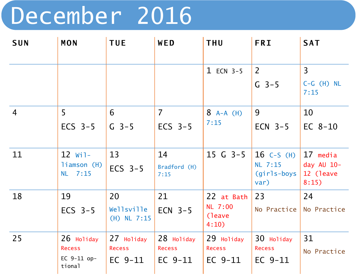## December 2016

| <b>SUN</b>     | <b>MON</b>                     | <b>TUE</b>                  | WED                       | <b>THU</b>                  | <b>FRI</b>                        | <b>SAT</b>                       |
|----------------|--------------------------------|-----------------------------|---------------------------|-----------------------------|-----------------------------------|----------------------------------|
|                |                                |                             |                           | $1$ ECN 3-5                 | 2                                 | $\overline{3}$                   |
|                |                                |                             |                           |                             | $G_{3-5}$                         | $C-G$ $(H)$ NL<br>7:15           |
| $\overline{4}$ | 5                              | 6                           | $\overline{7}$            | $8$ A-A (H)                 | 9                                 | 10                               |
|                | ECS $3-5$                      | $G$ 3-5                     | ECS $3-5$                 | 7:15                        | ECN $3-5$                         | $EC$ 8-10                        |
| 11             | $12$ Wil-                      | 13                          | 14                        | $15$ G $3-5$                | $16$ C-S (H)                      | 17 media                         |
|                | liamson (H)<br>NL 7:15         | ECS $3-5$                   | Bradford (H)<br>7:15      |                             | NL 7:15<br>$(girls-boys)$<br>var) | day AU 10-<br>12 (leave<br>8:15) |
| 18             | 19                             | 20                          | 21                        | 22 at Bath                  | 23                                | 24                               |
|                | ECS $3-5$                      | Wellsville<br>$(H)$ NL 7:15 | ECN $3-5$                 | NL 7:00<br>(leave)<br>4:10) | No Practice                       | No Practice                      |
| 25             | 26 Holiday                     | 27 Holiday                  | $28$ Holiday              | 29 Holiday                  | 30 Holiday                        | 31                               |
|                | <b>Recess</b><br>EC $9-11$ op- | <b>Recess</b><br>$EC9-11$   | <b>Recess</b><br>$EC9-11$ | <b>Recess</b><br>$EC9-11$   | <b>Recess</b><br>$EC9-11$         | No Practice                      |
|                | tional                         |                             |                           |                             |                                   |                                  |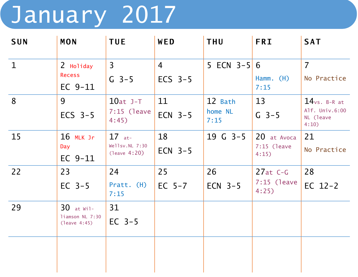## January 2017

| <b>SUN</b>   | <b>MON</b>                                      | <b>TUE</b>                                 | WED                         | <b>THU</b>                 | <b>FRI</b>                            | <b>SAT</b>                                                         |
|--------------|-------------------------------------------------|--------------------------------------------|-----------------------------|----------------------------|---------------------------------------|--------------------------------------------------------------------|
| $\mathbf{1}$ | 2 Holiday<br><b>Recess</b><br>$EC$ 9-11         | $\overline{3}$<br>$G$ 3-5                  | $\overline{4}$<br>ECS $3-5$ | 5 ECN $3-5$ 6              | Hamm. (H)<br>7:15                     | $\overline{7}$<br>No Practice                                      |
| 8            | 9<br>ECS $3-5$                                  | $10at$ J-T<br>$7:15$ (leave<br>4:45)       | 11<br>ECN $3-5$             | 12 Bath<br>home NL<br>7:15 | 13<br>$G$ 3-5                         | $14$ <sub>vs. B-R at</sub><br>Alf. Univ.6:00<br>NL (leave<br>4:10) |
| 15           | $16$ MLK Jr<br>Day<br>$EC$ 9-11                 | $17$ at-<br>Wellsv.NL 7:30<br>(leave 4:20) | 18<br>$ECN$ 3-5             | $19$ G $3-5$               | 20 at Avoca<br>$7:15$ (leave<br>4:15) | 21<br>No Practice                                                  |
| 22           | 23<br>$EC$ 3-5                                  | 24<br>Pratt. (H)<br>7:15                   | 25<br>$EC$ 5-7              | 26<br>$ECN$ 3-5            | $27at C-G$<br>$7:15$ (leave<br>4:25)  | 28<br>EC $12-2$                                                    |
| 29           | $30$ at Wil-<br>liamson NL 7:30<br>(leave 4:45) | 31<br>$EC$ 3-5                             |                             |                            |                                       |                                                                    |
|              |                                                 |                                            |                             |                            |                                       |                                                                    |